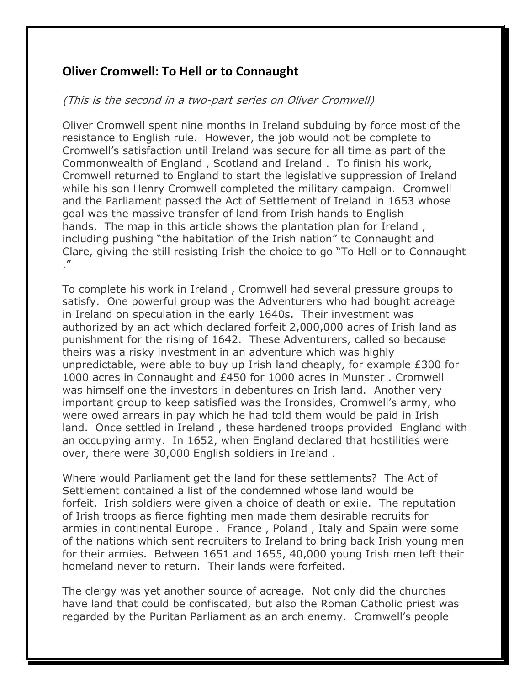## **Oliver Cromwell: To Hell or to Connaught**

## (This is the second in a two-part series on Oliver Cromwell)

Oliver Cromwell spent nine months in Ireland subduing by force most of the resistance to English rule. However, the job would not be complete to Cromwell's satisfaction until Ireland was secure for all time as part of the Commonwealth of England , Scotland and Ireland . To finish his work, Cromwell returned to England to start the legislative suppression of Ireland while his son Henry Cromwell completed the military campaign. Cromwell and the Parliament passed the Act of Settlement of Ireland in 1653 whose goal was the massive transfer of land from Irish hands to English hands. The map in this article shows the plantation plan for Ireland , including pushing "the habitation of the Irish nation" to Connaught and Clare, giving the still resisting Irish the choice to go "To Hell or to Connaught ."

To complete his work in Ireland , Cromwell had several pressure groups to satisfy. One powerful group was the Adventurers who had bought acreage in Ireland on speculation in the early 1640s. Their investment was authorized by an act which declared forfeit 2,000,000 acres of Irish land as punishment for the rising of 1642. These Adventurers, called so because theirs was a risky investment in an adventure which was highly unpredictable, were able to buy up Irish land cheaply, for example £300 for 1000 acres in Connaught and £450 for 1000 acres in Munster . Cromwell was himself one the investors in debentures on Irish land. Another very important group to keep satisfied was the Ironsides, Cromwell's army, who were owed arrears in pay which he had told them would be paid in Irish land. Once settled in Ireland , these hardened troops provided England with an occupying army. In 1652, when England declared that hostilities were over, there were 30,000 English soldiers in Ireland .

Where would Parliament get the land for these settlements? The Act of Settlement contained a list of the condemned whose land would be forfeit. Irish soldiers were given a choice of death or exile. The reputation of Irish troops as fierce fighting men made them desirable recruits for armies in continental Europe . France , Poland , Italy and Spain were some of the nations which sent recruiters to Ireland to bring back Irish young men for their armies. Between 1651 and 1655, 40,000 young Irish men left their homeland never to return. Their lands were forfeited.

The clergy was yet another source of acreage. Not only did the churches have land that could be confiscated, but also the Roman Catholic priest was regarded by the Puritan Parliament as an arch enemy. Cromwell's people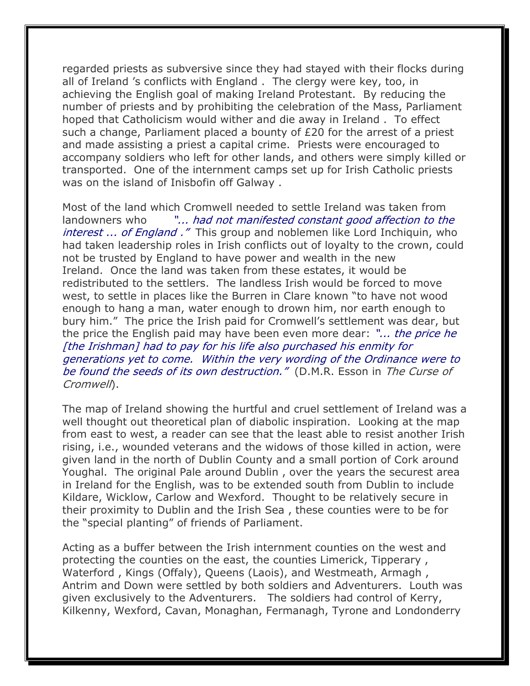regarded priests as subversive since they had stayed with their flocks during all of Ireland 's conflicts with England . The clergy were key, too, in achieving the English goal of making Ireland Protestant. By reducing the number of priests and by prohibiting the celebration of the Mass, Parliament hoped that Catholicism would wither and die away in Ireland . To effect such a change, Parliament placed a bounty of £20 for the arrest of a priest and made assisting a priest a capital crime. Priests were encouraged to accompany soldiers who left for other lands, and others were simply killed or transported. One of the internment camps set up for Irish Catholic priests was on the island of Inisbofin off Galway .

Most of the land which Cromwell needed to settle Ireland was taken from landowners who "... had not manifested constant good affection to the interest ... of England ." This group and noblemen like Lord Inchiquin, who had taken leadership roles in Irish conflicts out of loyalty to the crown, could not be trusted by England to have power and wealth in the new Ireland. Once the land was taken from these estates, it would be redistributed to the settlers. The landless Irish would be forced to move west, to settle in places like the Burren in Clare known "to have not wood enough to hang a man, water enough to drown him, nor earth enough to bury him." The price the Irish paid for Cromwell's settlement was dear, but the price the English paid may have been even more dear: "... the price he [the Irishman] had to pay for his life also purchased his enmity for generations yet to come. Within the very wording of the Ordinance were to be found the seeds of its own destruction." (D.M.R. Esson in The Curse of Cromwell).

The map of Ireland showing the hurtful and cruel settlement of Ireland was a well thought out theoretical plan of diabolic inspiration. Looking at the map from east to west, a reader can see that the least able to resist another Irish rising, i.e., wounded veterans and the widows of those killed in action, were given land in the north of Dublin County and a small portion of Cork around Youghal. The original Pale around Dublin , over the years the securest area in Ireland for the English, was to be extended south from Dublin to include Kildare, Wicklow, Carlow and Wexford. Thought to be relatively secure in their proximity to Dublin and the Irish Sea , these counties were to be for the "special planting" of friends of Parliament.

Acting as a buffer between the Irish internment counties on the west and protecting the counties on the east, the counties Limerick, Tipperary , Waterford , Kings (Offaly), Queens (Laois), and Westmeath, Armagh , Antrim and Down were settled by both soldiers and Adventurers. Louth was given exclusively to the Adventurers. The soldiers had control of Kerry, Kilkenny, Wexford, Cavan, Monaghan, Fermanagh, Tyrone and Londonderry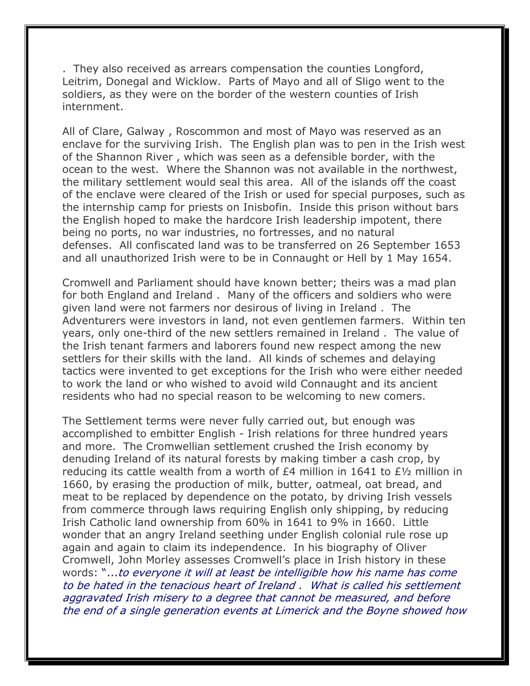. They also received as arrears compensation the counties Longford, Leitrim, Donegal and Wicklow. Parts of Mayo and all of Sligo went to the soldiers, as they were on the border of the western counties of Irish internment.

All of Clare, Galway , Roscommon and most of Mayo was reserved as an enclave for the surviving Irish. The English plan was to pen in the Irish west of the Shannon River , which was seen as a defensible border, with the ocean to the west. Where the Shannon was not available in the northwest, the military settlement would seal this area. All of the islands off the coast of the enclave were cleared of the Irish or used for special purposes, such as the internship camp for priests on Inisbofin. Inside this prison without bars the English hoped to make the hardcore Irish leadership impotent, there being no ports, no war industries, no fortresses, and no natural defenses. All confiscated land was to be transferred on 26 September 1653 and all unauthorized Irish were to be in Connaught or Hell by 1 May 1654.

Cromwell and Parliament should have known better; theirs was a mad plan for both England and Ireland . Many of the officers and soldiers who were given land were not farmers nor desirous of living in Ireland . The Adventurers were investors in land, not even gentlemen farmers. Within ten years, only one-third of the new settlers remained in Ireland . The value of the Irish tenant farmers and laborers found new respect among the new settlers for their skills with the land. All kinds of schemes and delaying tactics were invented to get exceptions for the Irish who were either needed to work the land or who wished to avoid wild Connaught and its ancient residents who had no special reason to be welcoming to new comers.

The Settlement terms were never fully carried out, but enough was accomplished to embitter English - Irish relations for three hundred years and more. The Cromwellian settlement crushed the Irish economy by denuding Ireland of its natural forests by making timber a cash crop, by reducing its cattle wealth from a worth of £4 million in 1641 to £½ million in 1660, by erasing the production of milk, butter, oatmeal, oat bread, and meat to be replaced by dependence on the potato, by driving Irish vessels from commerce through laws requiring English only shipping, by reducing Irish Catholic land ownership from 60% in 1641 to 9% in 1660. Little wonder that an angry Ireland seething under English colonial rule rose up again and again to claim its independence. In his biography of Oliver Cromwell, John Morley assesses Cromwell's place in Irish history in these words: "...to everyone it will at least be intelligible how his name has come to be hated in the tenacious heart of Ireland . What is called his settlement aggravated Irish misery to a degree that cannot be measured, and before the end of a single generation events at Limerick and the Boyne showed how